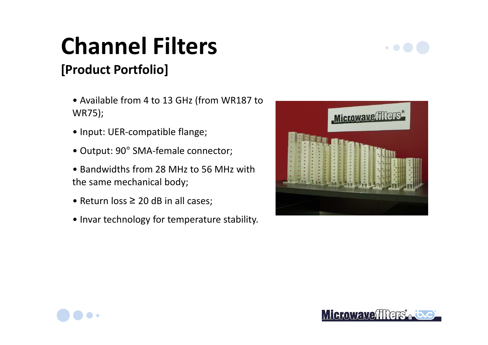# **Channel Filters**

### **[Product Portfolio]**

- Available from 4 to 13 GHz (from WR187 to WR75);
- Input: UER-compatible flange;
- Output: 90° SMA-female connector;
- Bandwidths from 28 MHz to 56 MHz with the same mechanical body;
- Return loss ≥ 20 dB in all cases;
- Invar technology for temperature stability.



 $\bullet$   $\bullet$   $\bullet$ 



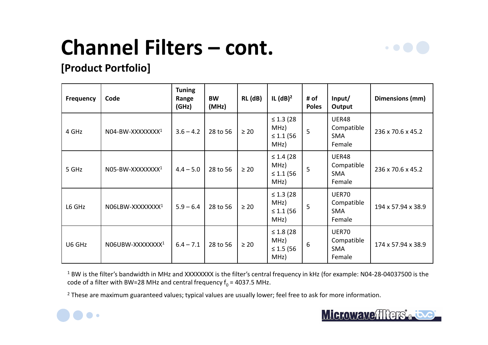## **Channel Filters – cont.**



#### **[Product Portfolio]**

| <b>Frequency</b> | Code                         | <b>Tuning</b><br>Range<br>(GHz) | <b>BW</b><br>(MHz) | RL (dB)   | IL $(dB)^2$                                       | # of<br><b>Poles</b> | Input/<br>Output                                   | Dimensions (mm)    |
|------------------|------------------------------|---------------------------------|--------------------|-----------|---------------------------------------------------|----------------------|----------------------------------------------------|--------------------|
| 4 GHz            | N04-BW-XXXXXXXX <sup>1</sup> | $3.6 - 4.2$                     | 28 to 56           | $\geq 20$ | $\leq 1.3$ (28)<br>MHz)<br>$\leq 1.1$ (56<br>MHz) | 5                    | UER48<br>Compatible<br><b>SMA</b><br>Female        | 236 x 70.6 x 45.2  |
| 5 GHz            | N05-BW-XXXXXXXX <sup>1</sup> | $4.4 - 5.0$                     | 28 to 56           | $\geq 20$ | $\leq 1.4(28)$<br>MHz)<br>$\leq 1.1$ (56<br>MHz)  | 5                    | UER48<br>Compatible<br><b>SMA</b><br>Female        | 236 x 70.6 x 45.2  |
| L6 GHz           | N06LBW-XXXXXXXX1             | $5.9 - 6.4$                     | 28 to 56           | $\geq 20$ | $\leq 1.3$ (28)<br>MHz)<br>$\leq 1.1$ (56<br>MHz) | 5                    | <b>UER70</b><br>Compatible<br><b>SMA</b><br>Female | 194 x 57.94 x 38.9 |
| U6 GHz           | N06UBW-XXXXXXXX1             | $6.4 - 7.1$                     | 28 to 56           | $\geq 20$ | $\leq 1.8$ (28)<br>MHz)<br>$\leq 1.5$ (56<br>MHZ) | 6                    | <b>UER70</b><br>Compatible<br><b>SMA</b><br>Female | 174 x 57.94 x 38.9 |

 $^1$  BW is the filter's bandwidth in MHz and XXXXXXXX is the filter's central frequency in kHz (for example: N04-28-04037500 is the code of a filter with BW=28 MHz and central frequency  $\rm f_{0}$  = 4037.5 MHz.

<sup>2</sup> These are maximum guaranteed values; typical values are usually lower; feel free to ask for more information.



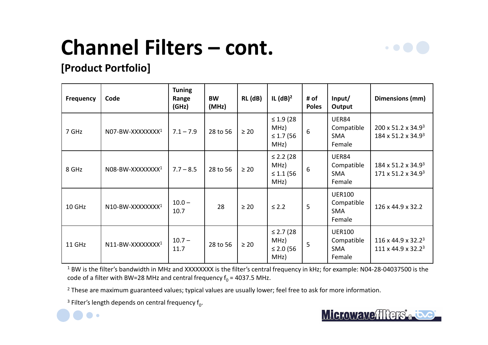## **Channel Filters – cont.**



#### **[Product Portfolio]**

| <b>Frequency</b> | Code                         | <b>Tuning</b><br>Range<br>(GHz) | <b>BW</b><br>(MHz) | RL (dB)   | IL $(dB)^2$                                       | # of<br><b>Poles</b> | Input/<br>Output                                    | Dimensions (mm)                                                    |
|------------------|------------------------------|---------------------------------|--------------------|-----------|---------------------------------------------------|----------------------|-----------------------------------------------------|--------------------------------------------------------------------|
| 7 GHz            | N07-BW-XXXXXXXX1             | $7.1 - 7.9$                     | 28 to 56           | $\geq 20$ | $\leq 1.9$ (28)<br>MHz)<br>$\leq 1.7$ (56<br>MHz) | 6                    | <b>UER84</b><br>Compatible<br><b>SMA</b><br>Female  | 200 x 51.2 x 34.93<br>184 x 51.2 x 34.9 <sup>3</sup>               |
| 8 GHz            | N08-BW-XXXXXXXX <sup>1</sup> | $7.7 - 8.5$                     | 28 to 56           | $\geq 20$ | $\leq$ 2.2 (28)<br>MHz)<br>$\leq 1.1$ (56<br>MHz) | 6                    | <b>UER84</b><br>Compatible<br><b>SMA</b><br>Female  | 184 x 51.2 x 34.93<br>$171 \times 51.2 \times 34.9^3$              |
| 10 GHz           | N10-BW-XXXXXXXX1             | $10.0 -$<br>10.7                | 28                 | $\geq 20$ | $\leq$ 2.2                                        | 5                    | <b>UER100</b><br>Compatible<br><b>SMA</b><br>Female | 126 x 44.9 x 32.2                                                  |
| 11 GHz           | N11-BW-XXXXXXXX1             | $10.7 -$<br>11.7                | 28 to 56           | $\geq 20$ | $\leq$ 2.7 (28)<br>MHz)<br>≤ 2.0 $(56)$<br>MHZ)   | 5                    | <b>UER100</b><br>Compatible<br><b>SMA</b><br>Female | $116 \times 44.9 \times 32.2^3$<br>$111 \times 44.9 \times 32.2^3$ |

<sup>1</sup> BW is the filter's bandwidth in MHz and XXXXXXXX is the filter's central frequency in kHz; for example: N04-28-04037500 is the code of a filter with BW=28 MHz and central frequency  $\rm f_{0}$  = 4037.5 MHz.

<sup>2</sup> These are maximum guaranteed values; typical values are usually lower; feel free to ask for more information.

<sup>3</sup> Filter's length depends on central frequency f $_0$ .